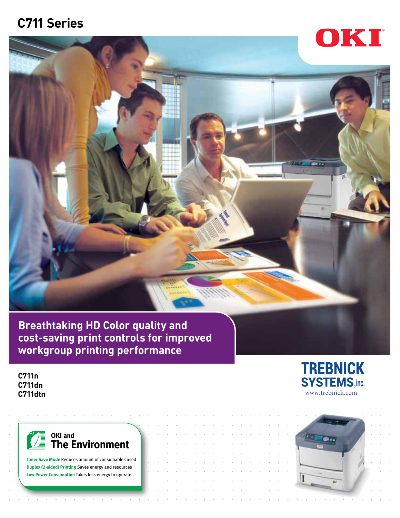# **C711 Series**



**Breathtaking HD Color quality and cost-saving print controls for improved workgroup printing performance** 

**C711n C711dn C711dtn**



**Toner Save Mode** Reduces amount of consumables used **Duplex (2-sided) Printing** Saves energy and resources **Low Power Consumption** Takes less energy to operate



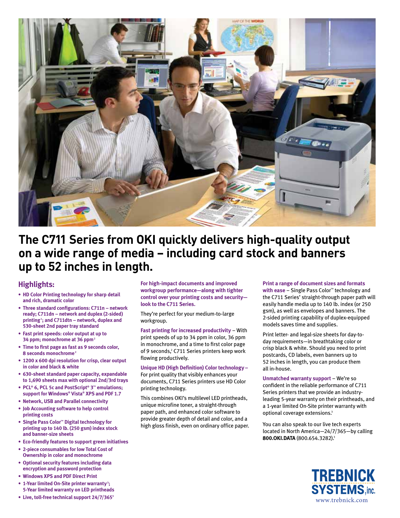

## **The C711 Series from OKI quickly delivers high-quality output on a wide range of media – including card stock and banners up to 52 inches in length.**

### **Highlights:**

- **• HD Color Printing technology for sharp detail and rich, dramatic color**
- **• Three standard configurations: C711n network ready; C711dn – network and duplex (2-sided) printing <sup>1</sup> ; and C711dtn – network, duplex and 530-sheet 2nd paper tray standard**
- **• Fast print speeds: color output at up to 34 ppm; monochrome at 36 ppm2**
- **• Time to first page as fast as 9 seconds color, 8 seconds monochrome <sup>2</sup>**
- **• 1200 x 600 dpi resolution for crisp, clear output in color and black & white**
- **• 630-sheet standard paper capacity, expandable to 1,690 sheets max with optional 2nd/3rd trays**
- **• PCL® 6, PCL 5c and PostScript® 3™ emulations; support for Windows® Vista® XPS and PDF 1.7**
- **• Network, USB and Parallel connectivity**
- **• Job Accounting software to help control printing costs**
- **• Single Pass Color™ Digital technology for printing up to 140 lb. (250 gsm) index stock and banner-size sheets**
- **• Eco-friendly features to support green initiatives**
- **• 2-piece consumables for low Total Cost of Ownership in color and monochrome**
- **• Optional security features including data encryption and password protection**
- **• Windows XPS and PDF Direct Print**
- **• 1-Year limited On-Site printer warranty <sup>3</sup> ; 5-Year limited warranty on LED printheads**
- **• Live, toll-free technical support 24/7/3653**

**For high-impact documents and improved workgroup performance—along with tighter control over your printing costs and security look to the C711 Series.**

They're perfect for your medium-to-large workgroup.

**Fast printing for increased productivity** – With print speeds of up to 34 ppm in color, 36 ppm in monochrome, and a time to first color page of 9 seconds, 2 C711 Series printers keep work flowing productively.

#### **Unique HD (High Definition) Color technology –**

For print quality that visibly enhances your documents, C711 Series printers use HD Color printing technology.

This combines OKI's multilevel LED printheads, unique microfine toner, a straight-through paper path, and enhanced color software to provide greater depth of detail and color, and a high gloss finish, even on ordinary office paper.

#### **Print a range of document sizes and formats**

**with ease** – Single Pass Color™ technology and the C711 Series' straight-through paper path will easily handle media up to 140 lb. index (or 250 gsm), as well as envelopes and banners. The 2-sided printing capability of duplex-equipped models saves time and supplies.

Print letter- and legal-size sheets for day-today requirements—in breathtaking color or crisp black & white. Should you need to print postcards, CD labels, even banners up to 52 inches in length, you can produce them all in-house.

**Unmatched warranty support** – We're so confident in the reliable performance of C711 Series printers that we provide an industryleading 5-year warranty on their printheads, and a 1-year limited On-Site printer warranty with optional coverage extensions.<sup>3</sup>

You can also speak to our live tech experts located in North America—24/7/365—by calling **800.OKI.DATA** (800.654.3282).3

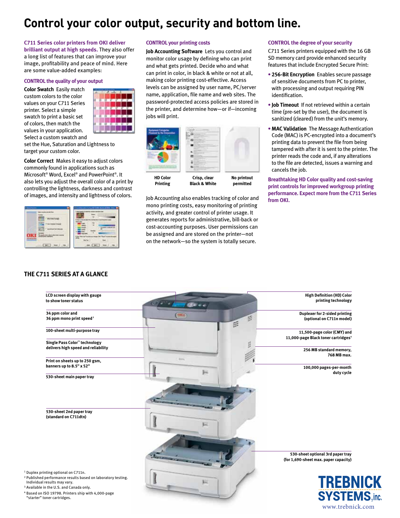# **Control your color output, security and bottom line.**

#### **C711 Series color printers from OKI deliver**

**brilliant output at high speeds.** They also offer a long list of features that can improve your image, profitability and peace of mind. Here are some value-added examples:

#### **CONTROL the quality of your output**

**Color Swatch** Easily match custom colors to the color values on your C711 Series printer. Select a simple swatch to print a basic set of colors, then match the values in your application. Select a custom swatch and



set the Hue, Saturation and Lightness to target your custom color.

**Color Correct** Makes it easy to adjust colors commonly found in applications such as Microsoft® Word, Excel® and PowerPoint®. It also lets you adjust the overall color of a print by controlling the lightness, darkness and contrast of images, and intensity and lightness of colors.



**THE C711 SERIES AT A GLANCE**

#### **CONTROL your printing costs**

**Job Accounting Software** Lets you control and monitor color usage by defining who can print and what gets printed. Decide who and what can print in color, in black & white or not at all, making color printing cost-effective. Access levels can be assigned by user name, PC/server name, application, file name and web sites. The password-protected access policies are stored in the printer, and determine how—or if—incoming jobs will print.



Job Accounting also enables tracking of color and mono printing costs, easy monitoring of printing activity, and greater control of printer usage. It generates reports for administrative, bill-back or cost-accounting purposes. User permissions can be assigned and are stored on the printer—not on the network—so the system is totally secure.

#### **CONTROL the degree of your security**

C711 Series printers equipped with the 16 GB SD memory card provide enhanced security features that include Encrypted Secure Print:

- **• 256-Bit Encryption** Enables secure passage of sensitive documents from PC to printer, with processing and output requiring PIN identification.
- **• Job Timeout** If not retrieved within a certain time (pre-set by the user), the document is sanitized (cleared) from the unit's memory.
- **• MAC Validation** The Message Authentication Code (MAC) is PC-encrypted into a document's printing data to prevent the file from being tampered with after it is sent to the printer. The printer reads the code and, if any alterations to the file are detected, issues a warning and cancels the job.

**Breathtaking HD Color quality and cost-saving print controls for improved workgroup printing performance. Expect more from the C711 Series from OKI.**

www.trebnick.com



<sup>2</sup> Published performance results based on laboratory testing. Individual results may vary.

"starter" toner cartridges.